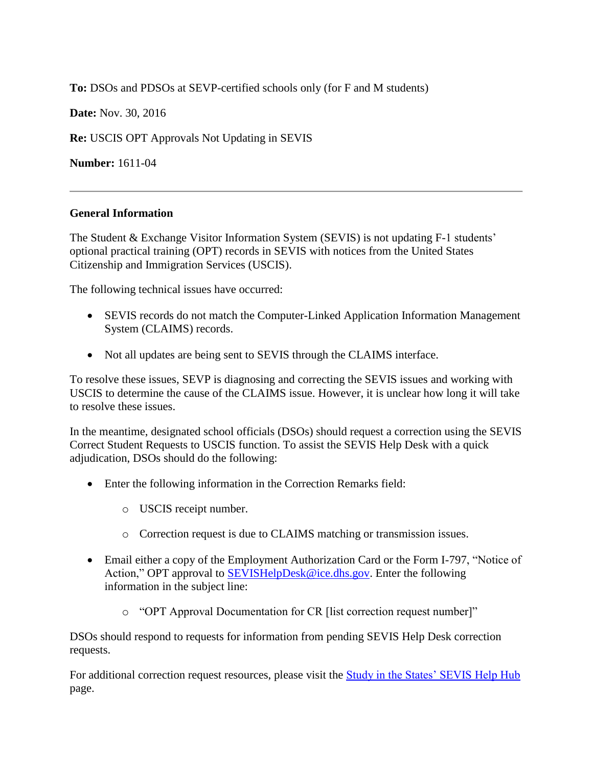**To:** DSOs and PDSOs at SEVP-certified schools only (for F and M students)

**Date:** Nov. 30, 2016

**Re:** USCIS OPT Approvals Not Updating in SEVIS

**Number:** 1611-04

## **General Information**

The Student & Exchange Visitor Information System (SEVIS) is not updating F-1 students' optional practical training (OPT) records in SEVIS with notices from the United States Citizenship and Immigration Services (USCIS).

The following technical issues have occurred:

- SEVIS records do not match the Computer-Linked Application Information Management System (CLAIMS) records.
- Not all updates are being sent to SEVIS through the CLAIMS interface.

To resolve these issues, SEVP is diagnosing and correcting the SEVIS issues and working with USCIS to determine the cause of the CLAIMS issue. However, it is unclear how long it will take to resolve these issues.

In the meantime, designated school officials (DSOs) should request a correction using the SEVIS Correct Student Requests to USCIS function. To assist the SEVIS Help Desk with a quick adjudication, DSOs should do the following:

- Enter the following information in the Correction Remarks field:
	- o USCIS receipt number.
	- o Correction request is due to CLAIMS matching or transmission issues.
- Email either a copy of the Employment Authorization Card or the Form I-797, "Notice of Action," OPT approval to [SEVISHelpDesk@ice.dhs.gov.](mailto:SEVIShelpdesk@ice.dhs.gov) Enter the following information in the subject line:
	- o "OPT Approval Documentation for CR [list correction request number]"

DSOs should respond to requests for information from pending SEVIS Help Desk correction requests.

For additional correction request resources, please visit the [Study in the States' SEVIS Help Hub](https://studyinthestates.dhs.gov/sevis-help-hub) page.